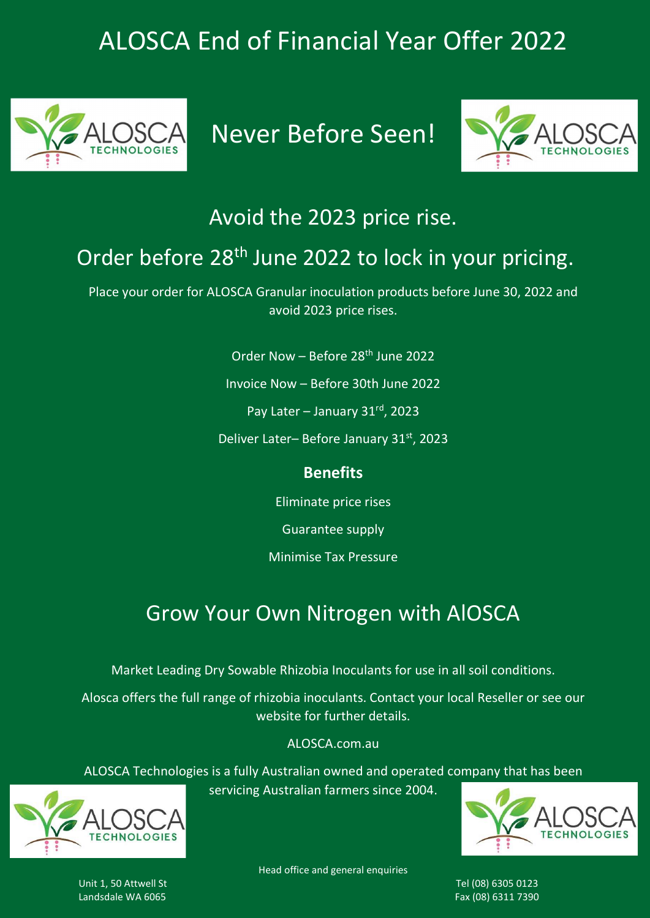# ALOSCA End of Financial Year Offer 2022



Never Before Seen!



### Avoid the 2023 price rise.

### Order before 28<sup>th</sup> June 2022 to lock in your pricing.

Place your order for ALOSCA Granular inoculation products before June 30, 2022 and avoid 2023 price rises.

Order Now – Before 28th June 2022

Invoice Now – Before 30th June 2022

Pay Later – January 31rd, 2023

Deliver Later-Before January 31st, 2023

#### **Benefits**

Eliminate price rises

Guarantee supply

Minimise Tax Pressure

### Grow Your Own Nitrogen with AlOSCA

Market Leading Dry Sowable Rhizobia Inoculants for use in all soil conditions.

Alosca offers the full range of rhizobia inoculants. Contact your local Reseller or see our website for further details.

ALOSCA.com.au

ALOSCA Technologies is a fully Australian owned and operated company that has been servicing Australian farmers since 2004.



CHNOLOG

Head office and general enquiries

Unit 1, 50 Attwell St Tel (08) 6305 0123 Landsdale WA 6065 Fax (08) 6311 7390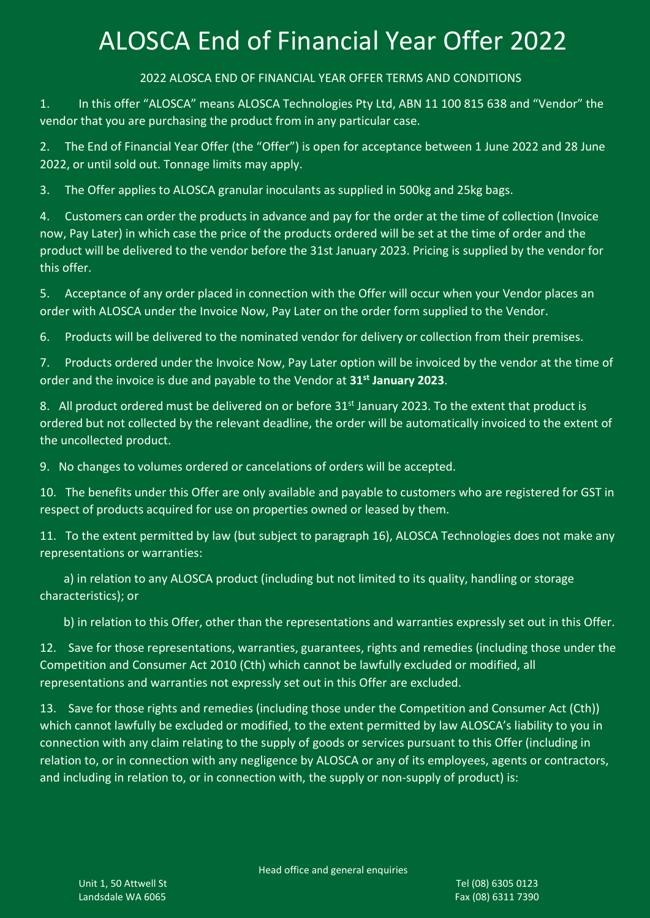# ALOSCA End of Financial Year Offer 2022

2022 ALOSCA END OF FINANCIAL YEAR OFFER TERMS AND CONDITIONS

1. In this offer "ALOSCA" means ALOSCA Technologies Pty Ltd, ABN 11 100 815 638 and "Vendor" the vendor that you are purchasing the product from in any particular case.

2. The End of Financial Year Offer (the "Offer") is open for acceptance between 1 June 2022 and 28 June 2022, or until sold out. Tonnage limits may apply.

3. The Offer applies to ALOSCA granular inoculants as supplied in 500kg and 25kg bags.

4. Customers can order the products in advance and pay for the order at the time of collection (Invoice now, Pay Later) in which case the price of the products ordered will be set at the time of order and the product will be delivered to the vendor before the 31st January 2023. Pricing is supplied by the vendor for this offer.

5. Acceptance of any order placed in connection with the Offer will occur when your Vendor places an order with ALOSCA under the Invoice Now, Pay Later on the order form supplied to the Vendor.

6. Products will be delivered to the nominated vendor for delivery or collection from their premises.

7. Products ordered under the Invoice Now, Pay Later option will be invoiced by the vendor at the time of order and the invoice is due and payable to the Vendor at 31<sup>st</sup> January 2023.

8. All product ordered must be delivered on or before  $31<sup>st</sup>$  January 2023. To the extent that product is ordered but not collected by the relevant deadline, the order will be automatically invoiced to the extent of the uncollected product.

9. No changes to volumes ordered or cancelations of orders will be accepted.

10. The benefits under this Offer are only available and payable to customers who are registered for GST in respect of products acquired for use on properties owned or leased by them.

11. To the extent permitted by law (but subject to paragraph 16), ALOSCA Technologies does not make any representations or warranties:

 a) in relation to any ALOSCA product (including but not limited to its quality, handling or storage characteristics); or

b) in relation to this Offer, other than the representations and warranties expressly set out in this Offer.

12. Save for those representations, warranties, guarantees, rights and remedies (including those under the Competition and Consumer Act 2010 (Cth) which cannot be lawfully excluded or modified, all representations and warranties not expressly set out in this Offer are excluded.

13. Save for those rights and remedies (including those under the Competition and Consumer Act (Cth)) which cannot lawfully be excluded or modified, to the extent permitted by law ALOSCA's liability to you in connection with any claim relating to the supply of goods or services pursuant to this Offer (including in relation to, or in connection with any negligence by ALOSCA or any of its employees, agents or contractors, and including in relation to, or in connection with, the supply or non-supply of product) is: